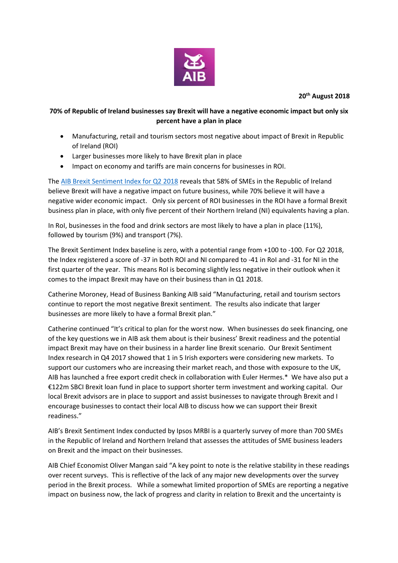

**20th August 2018**

## **70% of Republic of Ireland businesses say Brexit will have a negative economic impact but only six percent have a plan in place**

- Manufacturing, retail and tourism sectors most negative about impact of Brexit in Republic of Ireland (ROI)
- Larger businesses more likely to have Brexit plan in place
- Impact on economy and tariffs are main concerns for businesses in ROI.

The [AIB Brexit Sentiment Index for Q2 2018](https://aib.ie/content/dam/aib/fxcentre/docs/brexit-sentiment-index-q2-2018.pdf) reveals that 58% of SMEs in the Republic of Ireland believe Brexit will have a negative impact on future business, while 70% believe it will have a negative wider economic impact. Only six percent of ROI businesses in the ROI have a formal Brexit business plan in place, with only five percent of their Northern Ireland (NI) equivalents having a plan.

In RoI, businesses in the food and drink sectors are most likely to have a plan in place (11%), followed by tourism (9%) and transport (7%).

The Brexit Sentiment Index baseline is zero, with a potential range from +100 to -100. For Q2 2018, the Index registered a score of -37 in both ROI and NI compared to -41 in RoI and -31 for NI in the first quarter of the year. This means RoI is becoming slightly less negative in their outlook when it comes to the impact Brexit may have on their business than in Q1 2018.

Catherine Moroney, Head of Business Banking AIB said "Manufacturing, retail and tourism sectors continue to report the most negative Brexit sentiment. The results also indicate that larger businesses are more likely to have a formal Brexit plan."

Catherine continued "It's critical to plan for the worst now. When businesses do seek financing, one of the key questions we in AIB ask them about is their business' Brexit readiness and the potential impact Brexit may have on their business in a harder line Brexit scenario. Our Brexit Sentiment Index research in Q4 2017 showed that 1 in 5 Irish exporters were considering new markets. To support our customers who are increasing their market reach, and those with exposure to the UK, AIB has launched a free export credit check in collaboration with Euler Hermes.\* We have also put a €122m SBCI Brexit loan fund in place to support shorter term investment and working capital. Our local Brexit advisors are in place to support and assist businesses to navigate through Brexit and I encourage businesses to contact their local AIB to discuss how we can support their Brexit readiness."

AIB's Brexit Sentiment Index conducted by Ipsos MRBI is a quarterly survey of more than 700 SMEs in the Republic of Ireland and Northern Ireland that assesses the attitudes of SME business leaders on Brexit and the impact on their businesses.

AIB Chief Economist Oliver Mangan said "A key point to note is the relative stability in these readings over recent surveys. This is reflective of the lack of any major new developments over the survey period in the Brexit process. While a somewhat limited proportion of SMEs are reporting a negative impact on business now, the lack of progress and clarity in relation to Brexit and the uncertainty is